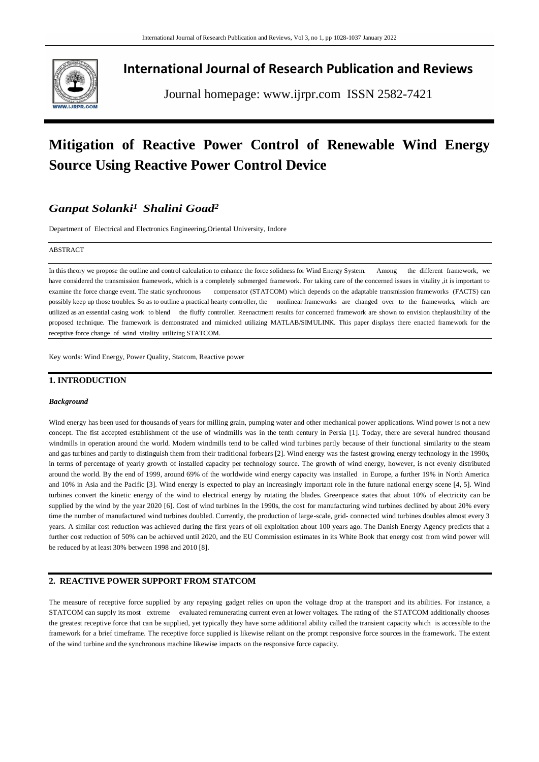

# **International Journal of Research Publication and Reviews**

Journal homepage: www.ijrpr.com ISSN 2582-7421

# **Mitigation of Reactive Power Control of Renewable Wind Energy Source Using Reactive Power Control Device**

## *Ganpat Solanki<sup>1</sup> Shalini Goad<sup>2</sup>*

Department of Electrical and Electronics Engineering,Oriental University, Indore

#### ABSTRACT

In this theory we propose the outline and control calculation to enhance the force solidness for Wind Energy System. Among the different framework, we have considered the transmission framework, which is a completely submerged framework. For taking care of the concerned issues in vitality ,it is important to examine the force change event. The static synchronous compensator (STATCOM) which depends on the adaptable transmission frameworks (FACTS) can possibly keep up those troubles. So as to outline a practical hearty controller, the nonlinear frameworks are changed over to the frameworks, which are utilized as an essential casing work to blend the fluffy controller. Reenactment results for concerned framework are shown to envision theplausibility of the proposed technique. The framework is demonstrated and mimicked utilizing MATLAB/SIMULINK. This paper displays there enacted framework for the receptive force change of wind vitality utilizing STATCOM.

Key words: Wind Energy, Power Quality, Statcom, Reactive power

## **1. INTRODUCTION**

#### *Background*

Wind energy has been used for thousands of years for milling grain, pumping water and other mechanical power applications. Wind power is not a new concept. The fist accepted establishment of the use of windmills was in the tenth century in Persia [1]. Today, there are several hundred thousand windmills in operation around the world. Modern windmills tend to be called wind turbines partly because of their functional similarity to the steam and gas turbines and partly to distinguish them from their traditional forbears [2]. Wind energy was the fastest growing energy technology in the 1990s, in terms of percentage of yearly growth of installed capacity per technology source. The growth of wind energy, however, is not evenly distributed around the world. By the end of 1999, around 69% of the worldwide wind energy capacity was installed in Europe, a further 19% in North America and 10% in Asia and the Pacific [3]. Wind energy is expected to play an increasingly important role in the future national energy scene [4, 5]. Wind turbines convert the kinetic energy of the wind to electrical energy by rotating the blades. Greenpeace states that about 10% of electricity can be supplied by the wind by the year 2020 [6]. Cost of wind turbines In the 1990s, the cost for manufacturing wind turbines declined by about 20% every time the number of manufactured wind turbines doubled. Currently, the production of large-scale, grid- connected wind turbines doubles almost every 3 years. A similar cost reduction was achieved during the first years of oil exploitation about 100 years ago. The Danish Energy Agency predicts that a further cost reduction of 50% can be achieved until 2020, and the EU Commission estimates in its White Book that energy cost from wind power will be reduced by at least 30% between 1998 and 2010 [8].

#### **2. REACTIVE POWER SUPPORT FROM STATCOM**

The measure of receptive force supplied by any repaying gadget relies on upon the voltage drop at the transport and its abilities. For instance, a STATCOM can supply its most extreme evaluated remunerating current even at lower voltages. The rating of the STATCOM additionally chooses the greatest receptive force that can be supplied, yet typically they have some additional ability called the transient capacity which is accessible to the framework for a brief timeframe. The receptive force supplied is likewise reliant on the prompt responsive force sources in the framework. The extent of the wind turbine and the synchronous machine likewise impacts on the responsive force capacity.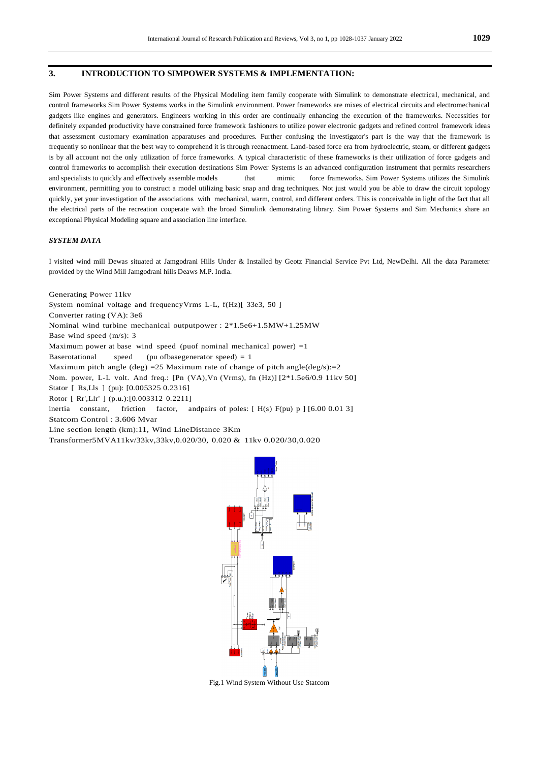#### **3. INTRODUCTION TO SIMPOWER SYSTEMS & IMPLEMENTATION:**

Sim Power Systems and different results of the Physical Modeling item family cooperate with Simulink to demonstrate electrical, mechanical, and control frameworks Sim Power Systems works in the Simulink environment. Power frameworks are mixes of electrical circuits and electromechanical gadgets like engines and generators. Engineers working in this order are continually enhancing the execution of the frameworks. Necessities for definitely expanded productivity have constrained force framework fashioners to utilize power electronic gadgets and refined control framework ideas that assessment customary examination apparatuses and procedures. Further confusing the investigator's part is the way that the framework is frequently so nonlinear that the best way to comprehend it is through reenactment. Land-based force era from hydroelectric, steam, or different gadgets is by all account not the only utilization of force frameworks. A typical characteristic of these frameworks is their utilization of force gadgets and control frameworks to accomplish their execution destinations Sim Power Systems is an advanced configuration instrument that permits researchers and specialists to quickly and effectively assemble models that mimic force frameworks. Sim Power Systems utilizes the Simulink environment, permitting you to construct a model utilizing basic snap and drag techniques. Not just would you be able to draw the circuit topology quickly, yet your investigation of the associations with mechanical, warm, control, and different orders. This is conceivable in light of the fact that all the electrical parts of the recreation cooperate with the broad Simulink demonstrating library. Sim Power Systems and Sim Mechanics share an exceptional Physical Modeling square and association line interface.

#### *SYSTEM DATA*

I visited wind mill Dewas situated at Jamgodrani Hills Under & Installed by Geotz Financial Service Pvt Ltd, NewDelhi. All the data Parameter provided by the Wind Mill Jamgodrani hills Deaws M.P. India.

Generating Power 11kv System nominal voltage and frequencyVrms L-L,  $f(Hz)$ [ 33e3, 50 ] Converter rating (VA): 3e6 Nominal wind turbine mechanical outputpower : 2\*1.5e6+1.5MW+1.25MW Base wind speed (m/s): 3 Maximum power at base wind speed (puof nominal mechanical power) =1 Baserotational speed (pu ofbasegenerator speed) = 1 Maximum pitch angle (deg) = 25 Maximum rate of change of pitch angle(deg/s):= 2 Nom. power, L-L volt. And freq.: [Pn (VA),Vn (Vrms), fn (Hz)] [2\*1.5e6/0.9 11kv 50] Stator [ Rs,Lls ] (pu): [0.005325 0.2316] Rotor [ Rr',Llr' ] (p.u.):[0.003312 0.2211] inertia constant, friction factor, andpairs of poles:  $[H(s) F(pu) p] [6.00 0.01 3]$ Statcom Control : 3.606 Mvar Line section length (km):11, Wind LineDistance 3Km Transformer5MVA11kv/33kv,33kv,0.020/30, 0.020 & 11kv 0.020/30,0.020



Fig.1 Wind System Without Use Statcom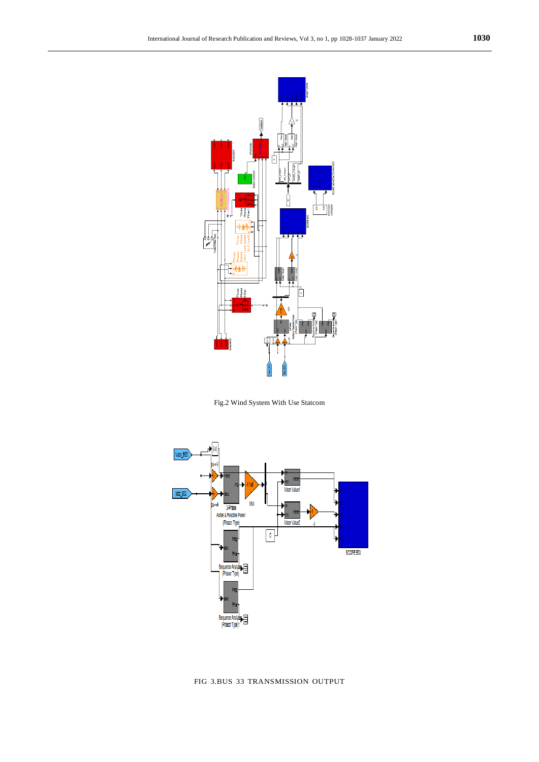

Fig.2 Wind System With Use Statcom



FIG 3.BUS 33 TRANSMISSION OUTPUT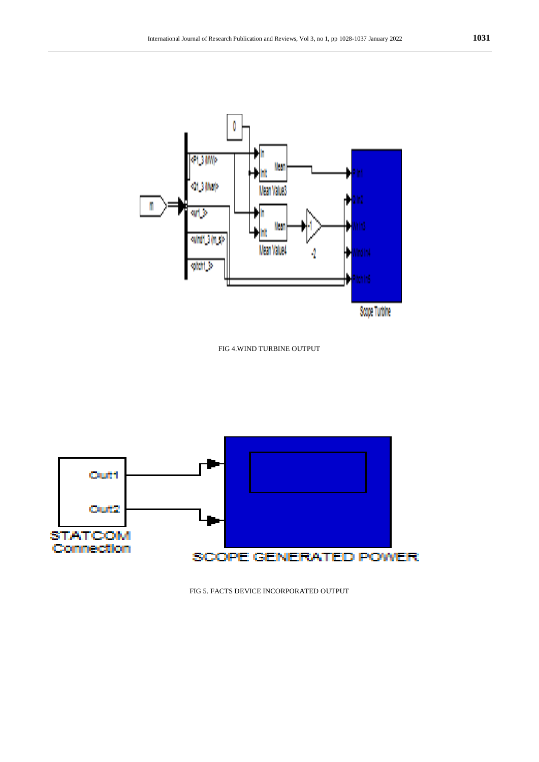Wear

AID

Ą

Scope Turble

Mean Values

þ

**COMMENT** 

set 3 (Mer)

while Single

qitiri S

only

T

FIG 4.WIND TURBINE OUTPUT



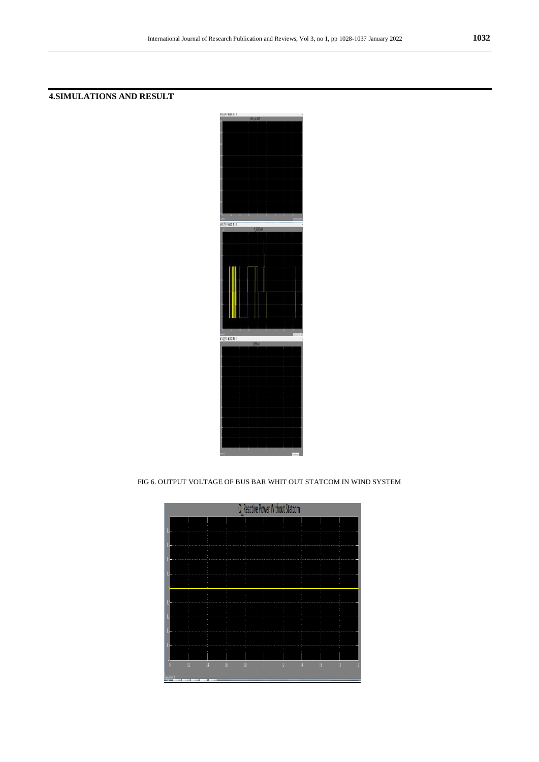## **4.SIMULATIONS AND RESULT**



FIG 6. OUTPUT VOLTAGE OF BUS BAR WHIT OUT STATCOM IN WIND SYSTEM

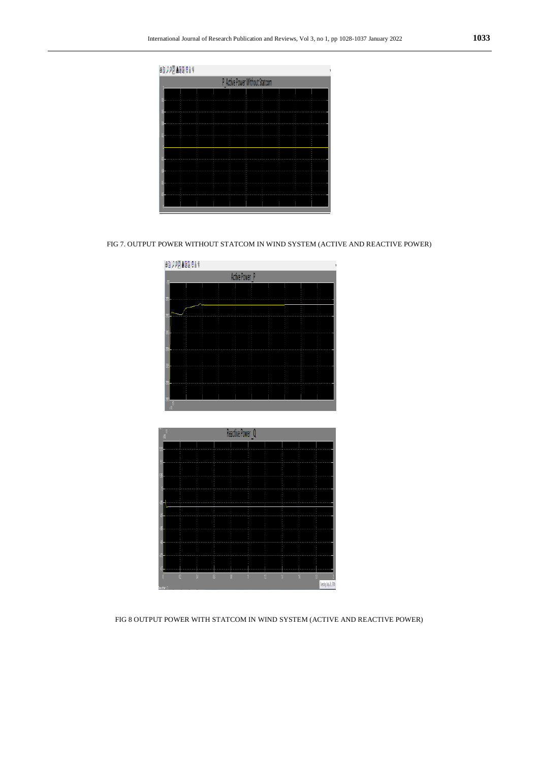| P Active Power Without Statcom |  |  |  |  |  |  |  |  |  |
|--------------------------------|--|--|--|--|--|--|--|--|--|
|                                |  |  |  |  |  |  |  |  |  |
|                                |  |  |  |  |  |  |  |  |  |
|                                |  |  |  |  |  |  |  |  |  |
|                                |  |  |  |  |  |  |  |  |  |
|                                |  |  |  |  |  |  |  |  |  |
|                                |  |  |  |  |  |  |  |  |  |
|                                |  |  |  |  |  |  |  |  |  |
|                                |  |  |  |  |  |  |  |  |  |
|                                |  |  |  |  |  |  |  |  |  |
|                                |  |  |  |  |  |  |  |  |  |
|                                |  |  |  |  |  |  |  |  |  |
|                                |  |  |  |  |  |  |  |  |  |
|                                |  |  |  |  |  |  |  |  |  |
|                                |  |  |  |  |  |  |  |  |  |
|                                |  |  |  |  |  |  |  |  |  |

FIG 7. OUTPUT POWER WITHOUT STATCOM IN WIND SYSTEM (ACTIVE AND REACTIVE POWER)

| <b>48 222 488 814</b> |  |  |  |  |  |  |  |  |  |
|-----------------------|--|--|--|--|--|--|--|--|--|
| Active Power P        |  |  |  |  |  |  |  |  |  |
|                       |  |  |  |  |  |  |  |  |  |
|                       |  |  |  |  |  |  |  |  |  |
|                       |  |  |  |  |  |  |  |  |  |
|                       |  |  |  |  |  |  |  |  |  |
|                       |  |  |  |  |  |  |  |  |  |
|                       |  |  |  |  |  |  |  |  |  |
|                       |  |  |  |  |  |  |  |  |  |
|                       |  |  |  |  |  |  |  |  |  |
|                       |  |  |  |  |  |  |  |  |  |
|                       |  |  |  |  |  |  |  |  |  |
|                       |  |  |  |  |  |  |  |  |  |

|         | Reactive Power Q |   |   |   |  |   |   |            |                        |  |
|---------|------------------|---|---|---|--|---|---|------------|------------------------|--|
|         |                  |   |   |   |  |   |   |            |                        |  |
|         |                  |   |   |   |  |   |   |            |                        |  |
|         |                  |   |   |   |  |   |   |            |                        |  |
|         |                  |   |   |   |  |   |   |            |                        |  |
|         |                  |   |   |   |  |   |   |            |                        |  |
|         |                  |   |   |   |  |   |   |            |                        |  |
|         |                  |   |   |   |  |   |   |            |                        |  |
|         |                  |   |   |   |  |   |   |            |                        |  |
|         |                  |   |   |   |  |   |   |            |                        |  |
|         |                  |   |   |   |  |   |   |            |                        |  |
|         |                  |   |   |   |  |   |   |            |                        |  |
|         |                  |   |   |   |  |   |   |            |                        |  |
|         |                  |   |   |   |  |   |   |            |                        |  |
|         | n                | п | ĸ | R |  | n | п | $\sqrt{3}$ | 18                     |  |
| A bitch |                  |   |   |   |  |   |   |            | Tuestay, July 26, 2016 |  |

FIG 8 OUTPUT POWER WITH STATCOM IN WIND SYSTEM (ACTIVE AND REACTIVE POWER)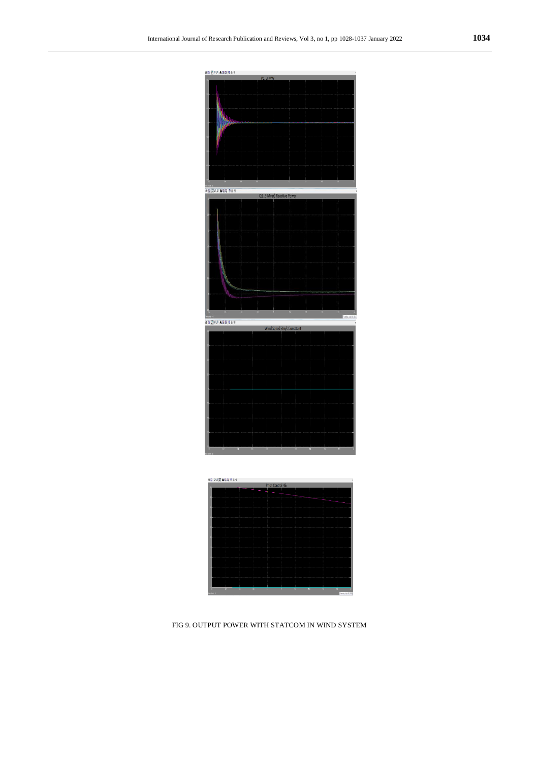



FIG 9. OUTPUT POWER WITH STATCOM IN WIND SYSTEM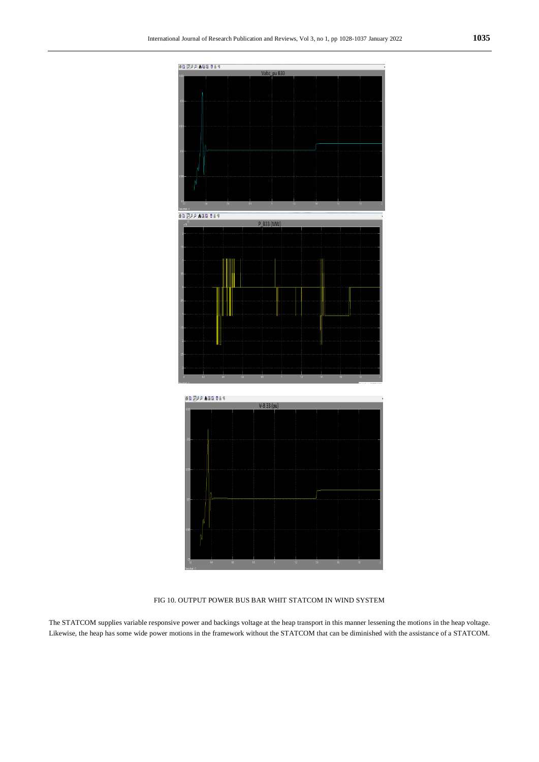

FIG 10. OUTPUT POWER BUS BAR WHIT STATCOM IN WIND SYSTEM

The STATCOM supplies variable responsive power and backings voltage at the heap transport in this manner lessening the motions in the heap voltage. Likewise, the heap has some wide power motions in the framework without the STATCOM that can be diminished with the assistance of a STATCOM.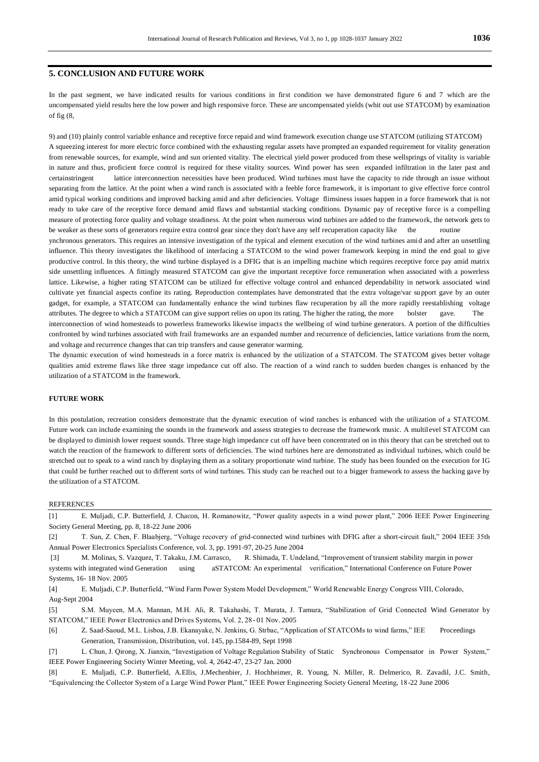### **5. CONCLUSION AND FUTURE WORK**

In the past segment, we have indicated results for various conditions in first condition we have demonstrated figure 6 and 7 which are the uncompensated yield results here the low power and high responsive force. These are uncompensated yields (whit out use STATCOM) by examination of fig (8,

9) and (10) plainly control variable enhance and receptive force repaid and wind framework execution change use STATCOM (utilizing STATCOM) A squeezing interest for more electric force combined with the exhausting regular assets have prompted an expanded requirement for vitality generation from renewable sources, for example, wind and sun oriented vitality. The electrical yield power produced from these wellsprings of vitality is variable in nature and thus, proficient force control is required for these vitality sources. Wind power has seen expanded infiltration in the later past and certainstringent lattice interconnection necessities have been produced. Wind turbines must have the capacity to ride through an issue without separating from the lattice. At the point when a wind ranch is associated with a feeble force framework, it is important to give effective force control amid typical working conditions and improved backing amid and after deficiencies. Voltage flimsiness issues happen in a force framework that is not ready to take care of the receptive force demand amid flaws and substantial stacking conditions. Dynamic pay of receptive force is a compelling measure of protecting force quality and voltage steadiness. At the point when numerous wind turbines are added to the framework, the network gets to be weaker as these sorts of generators require extra control gear since they don't have any self recuperation capacity like the routine ynchronous generators. This requires an intensive investigation of the typical and element execution of the wind turbines amid and after an unsettling influence. This theory investigates the likelihood of interfacing a STATCOM to the wind power framework keeping in mind the end goal to give productive control. In this theory, the wind turbine displayed is a DFIG that is an impelling machine which requires receptive force pay amid matrix side unsettling influences. A fittingly measured STATCOM can give the important receptive force remuneration when associated with a powerless lattice. Likewise, a higher rating STATCOM can be utilized for effective voltage control and enhanced dependability in network associated wind cultivate yet financial aspects confine its rating. Reproduction contemplates have demonstrated that the extra voltage/var su pport gave by an outer gadget, for example, a STATCOM can fundamentally enhance the wind turbines flaw recuperation by all the more rapidly reestablishing voltage attributes. The degree to which a STATCOM can give support relies on upon its rating. The higher the rating, the more bolster gave. The interconnection of wind homesteads to powerless frameworks likewise impacts the wellbeing of wind turbine generators. A portion of the difficulties confronted by wind turbines associated with frail frameworks are an expanded number and recurrence of deficiencies, lattice variations from the norm, and voltage and recurrence changes that can trip transfers and cause generator warming.

The dynamic execution of wind homesteads in a force matrix is enhanced by the utilization of a STATCOM. The STATCOM gives better voltage qualities amid extreme flaws like three stage impedance cut off also. The reaction of a wind ranch to sudden burden changes is enhanced by the utilization of a STATCOM in the framework.

#### **FUTURE WORK**

In this postulation, recreation considers demonstrate that the dynamic execution of wind ranches is enhanced with the utilization of a STATCOM. Future work can include examining the sounds in the framework and assess strategies to decrease the framework music. A multilevel STATCOM can be displayed to diminish lower request sounds. Three stage high impedance cut off have been concentrated on in this theory that can be stretched out to watch the reaction of the framework to different sorts of deficiencies. The wind turbines here are demonstrated as individual turbines, which could be stretched out to speak to a wind ranch by displaying them as a solitary proportionate wind turbine. The study has been founded on the execution for IG that could be further reached out to different sorts of wind turbines. This study can be reached out to a bigger framework to assess the backing gave by the utilization of a STATCOM.

#### REFERENCES

[1] E. Muljadi, C.P. Butterfield, J. Chacon, H. Romanowitz, "Power quality aspects in a wind power plant," 2006 IEEE Power Engineering Society General Meeting, pp. 8, 18-22 June 2006

[2] T. Sun, Z. Chen, F. Blaabjerg, "Voltage recovery of grid-connected wind turbines with DFIG after a short-circuit fault," 2004 IEEE 35th Annual Power Electronics Specialists Conference, vol. 3, pp. 1991-97, 20-25 June 2004

[3] M. Molinas, S. Vazquez, T. Takaku, J.M. Carrasco, R. Shimada, T. Undeland, "Improvement of transient stability margin in power systems with integrated wind Generation using aSTATCOM: An experimental verification," International Conference on Future Power Systems, 16- 18 Nov. 2005

[4] E. Muljadi, C.P. Butterfield, "Wind Farm Power System Model Development," World Renewable Energy Congress VIII, Colorado, Aug-Sept 2004

[5] S.M. Muyeen, M.A. Mannan, M.H. Ali, R. Takahashi, T. Murata, J. Tamura, "Stabilization of Grid Connected Wind Generator by STATCOM," IEEE Power Electronics and Drives Systems, Vol. 2, 28- 01 Nov. 2005

[6] Z. Saad-Saoud, M.L. Lisboa, J.B. Ekanayake, N. Jenkins, G. Strbac, "Application of STATCOMs to wind farms," IEE Proceedings Generation, Transmission, Distribution, vol. 145, pp.1584-89, Sept 1998

[7] L. Chun, J. Qirong, X. Jianxin, "Investigation of Voltage Regulation Stability of Static Synchronous Compensator in Power System," IEEE Power Engineering Society Winter Meeting, vol. 4, 2642-47, 23-27 Jan. 2000

[8] E. Muljadi, C.P. Butterfield, A.Ellis, J.Mechenbier, J. Hochheimer, R. Young, N. Miller, R. Delmerico, R. Zavadil, J.C. Smith, "Equivalencing the Collector System of a Large Wind Power Plant," IEEE Power Engineering Society General Meeting, 18-22 June 2006